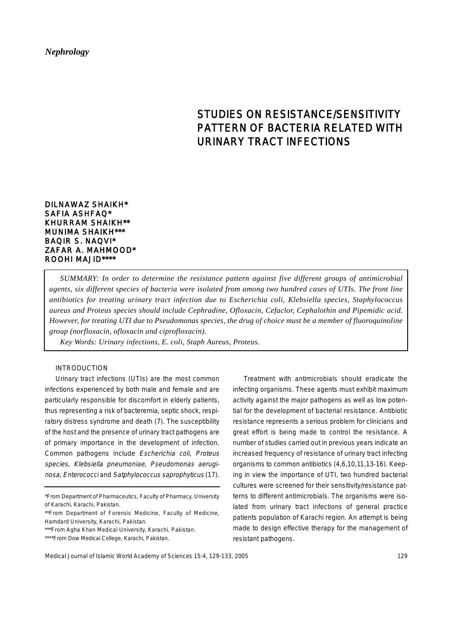## *Nephrology*

## STUDIES ON RESISTANCE/SENSITIVITY PATTERN OF BACTERIA RELATED WITH URINARY TRACT INFECTIONS

DILNAWAZ SHAIKH\* SAFIA ASHFAQ\* KHURRAM SHAIKH\*\* MUNIMA SHAIKH\*\*\* BAQIR S. NAQVI\* ZAFAR A. MAHMOOD\* ROOHI MAJID\*\*\*\*

*SUMMARY: In order to determine the resistance pattern against five different groups of antimicrobial agents, six different species of bacteria were isolated from among two hundred cases of UTIs. The front line antibiotics for treating urinary tract infection due to Escherichia coli, Klebsiella species, Staphylococcus aureus and Proteus species should include Cephradine, Ofloxacin, Cefaclor, Cephalothin and Pipemidic acid. However, for treating UTI due to Pseudomonas species, the drug of choice must be a member of fluoroquinoline group (norfloxacin, ofloxacin and ciprofloxacin).*

*Key Words: Urinary infections, E. coli, Staph Aureus, Proteus.*

## INTRODUCTION

Urinary tract infections (UTIs) are the most common infections experienced by both male and female and are particularly responsible for discomfort in elderly patients, thus representing a risk of bacteremia, septic shock, respiratory distress syndrome and death (7). The susceptibility of the host and the presence of urinary tract pathogens are of primary importance in the development of infection. Common pathogens include Escherichia coli, Proteus species, Klebsiella pneumoniae, Pseudomonas aeruginosa, Enterococci and Satphylococcus saprophyticus (17).

Treatment with antimicrobials should eradicate the infecting organisms. These agents must exhibit maximum activity against the major pathogens as well as low potential for the development of bacterial resistance. Antibiotic resistance represents a serious problem for clinicians and great effort is being made to control the resistance. A number of studies carried out in previous years indicate an increased frequency of resistance of urinary tract infecting organisms to common antibiotics (4,6,10,11,13-16). Keeping in view the importance of UTI, two hundred bacterial cultures were screened for their sensitivity/resistance patterns to different antimicrobials. The organisms were isolated from urinary tract infections of general practice patients population of Karachi region. An attempt is being made to design effective therapy for the management of resistant pathogens.

<sup>\*</sup>From Department of Pharmaceutics, Faculty of Pharmacy, University of Karachi, Karachi, Pakistan.

<sup>\*\*</sup>From Department of Forensic Medicine, Faculty of Medicine, Hamdard University, Karachi, Pakistan.

<sup>\*\*\*</sup>From Agha Khan Medical University, Karachi, Pakistan.

<sup>\*\*\*\*</sup>From Dow Medical College, Karachi, Pakistan.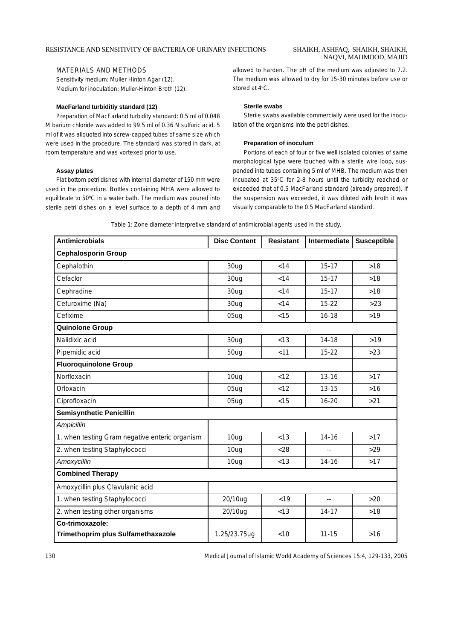# NAQVI, MAHMOOD, MAJID

## MATERIALS AND METHODS

Sensitivity medium: Muller Hinton Agar (12). Medium for inoculation: Muller-Hinton Broth (12).

#### **MacFarland turbiditiy standard (12)**

Preparation of MacFarland turbidity standard: 0.5 ml of 0.048 M barium chloride was added to 99.5 ml of 0.36 N sulfuric acid. 5 ml of it was aliquoted into screw-capped tubes of same size which were used in the procedure. The standard was stored in dark, at room temperature and was vortexed prior to use.

### **Assay plates**

Flat bottom petri dishes with internal diameter of 150 mm were used in the procedure. Bottles containing MHA were allowed to equilibrate to 50ºC in a water bath. The medium was poured into sterile petri dishes on a level surface to a depth of 4 mm and allowed to harden. The pH of the medium was adjusted to 7.2. The medium was allowed to dry for 15-30 minutes before use or stored at 4ºC.

#### **Sterile swabs**

Sterile swabs available commercially were used for the inoculation of the organisms into the petri dishes.

#### **Preparation of inoculum**

Portions of each of four or five well isolated colonies of same morphological type were touched with a sterile wire loop, suspended into tubes containing 5 ml of MHB. The medium was then incubated at 35ºC for 2-8 hours until the turbidity reached or exceeded that of 0.5 MacFarland standard (already prepared). If the suspension was exceeded, it was diluted with broth it was visually comparable to the 0.5 MacFarland standard.

| <b>Antimicrobials</b>                          | <b>Disc Content</b> | <b>Resistant</b> | Intermediate | <b>Susceptible</b> |
|------------------------------------------------|---------------------|------------------|--------------|--------------------|
| <b>Cephalosporin Group</b>                     |                     |                  |              |                    |
| Cephalothin                                    | 30ug                | < 14             | $15 - 17$    | $>18$              |
| Cefaclor                                       | 30 <sub>u</sub> g   | < 14             | $15-17$      | $>18$              |
| Cephradine                                     | 30ug                | < 14             | $15 - 17$    | $>18$              |
| Cefuroxime (Na)                                | 30ug                | < 14             | $15 - 22$    | $>23$              |
| Cefixime                                       | 05ug                | < 15             | $16 - 18$    | $>19$              |
| <b>Quinolone Group</b>                         |                     |                  |              |                    |
| Nalidixic acid                                 | 30ug                | < 13             | 14-18        | >19                |
| Pipemidic acid                                 | 50ug                | < 11             | $15 - 22$    | $>23$              |
| <b>Fluoroquinolone Group</b>                   |                     |                  |              |                    |
| Norfloxacin                                    | 10 <sub>ug</sub>    | < 12             | $13 - 16$    | $>17$              |
| Ofloxacin                                      | 05ug                | < 12             | $13 - 15$    | $>16$              |
| Ciprofloxacin                                  | 05ug                | < 15             | $16 - 20$    | $>21$              |
| <b>Semisynthetic Penicillin</b>                |                     |                  |              |                    |
| Ampicillin                                     |                     |                  |              |                    |
| 1. when testing Gram negative enteric organism | 10ug                | < 13             | 14-16        | $>17$              |
| 2. when testing Staphylococci                  | 10 <sub>ug</sub>    | $28$             |              | $>29$              |
| Amoxycillin                                    | 10 <sub>ug</sub>    | < 13             | 14-16        | >17                |
| <b>Combined Therapy</b>                        |                     |                  |              |                    |
| Amoxycillin plus Clavulanic acid               |                     |                  |              |                    |
| 1. when testing Staphylococci                  | 20/10ug             | < 19             | Ξ.           | $>20$              |
| 2. when testing other organisms                | 20/10ug             | < 13             | $14 - 17$    | $>18$              |
| Co-trimoxazole:                                |                     |                  |              |                    |
| Trimethoprim plus Sulfamethaxazole             | 1.25/23.75ug        | <10              | $11 - 15$    | $>16$              |

Table 1: Zone diameter interpretive standard of antimicrobial agents used in the study.

130 Medical Journal of Islamic World Academy of Sciences 15:4, 129-133, 2005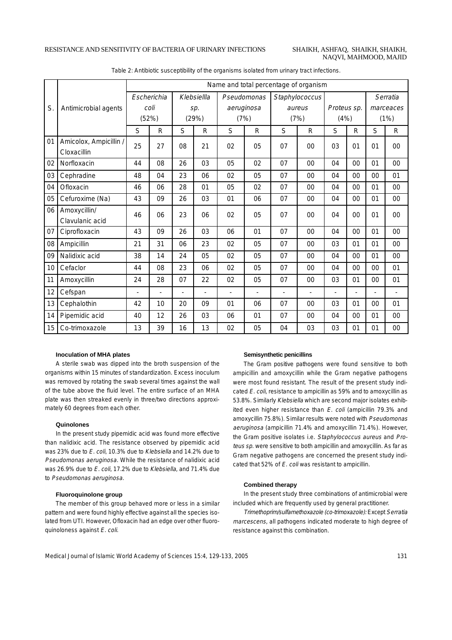## NAQVI, MAHMOOD, MAJID

|                            |                                       | Name and total percentage of organism |    |             |    |             |    |                |              |             |    |           |        |
|----------------------------|---------------------------------------|---------------------------------------|----|-------------|----|-------------|----|----------------|--------------|-------------|----|-----------|--------|
|                            |                                       | Escherichia                           |    | Klebsiellla |    | Pseudomonas |    | Staphylococcus |              |             |    | Serratia  |        |
| S.<br>Antimicrobial agents |                                       | coli                                  |    | sp.         |    | aeruginosa  |    | aureus         |              | Proteus sp. |    | marceaces |        |
|                            |                                       | (52%)                                 |    | (29%)       |    | (7%)        |    | (7%)           |              | (4%)        |    | (1%)      |        |
|                            |                                       | S                                     | R  | S           | R  | S           | R  | S              | $\mathsf{R}$ | S           | R  | S         | R      |
| 01                         | Amicolox, Ampicillin /<br>Cloxacillin | 25                                    | 27 | 08          | 21 | 02          | 05 | 07             | 00           | 03          | 01 | 01        | $00\,$ |
| 02                         | Norfloxacin                           | 44                                    | 08 | 26          | 03 | 05          | 02 | 07             | 00           | 04          | 00 | 01        | $00\,$ |
| 03                         | Cephradine                            | 48                                    | 04 | 23          | 06 | 02          | 05 | 07             | 00           | 04          | 00 | 00        | 01     |
| 04                         | Ofloxacin                             | 46                                    | 06 | 28          | 01 | 05          | 02 | 07             | 00           | 04          | 00 | 01        | 00     |
| 05                         | Cefuroxime (Na)                       | 43                                    | 09 | 26          | 03 | 01          | 06 | 07             | $00\,$       | 04          | 00 | 01        | $00\,$ |
| 06                         | Amoxycillin/<br>Clavulanic acid       | 46                                    | 06 | 23          | 06 | 02          | 05 | 07             | $00\,$       | 04          | 00 | 01        | $00\,$ |
| 07                         | Ciprofloxacin                         | 43                                    | 09 | 26          | 03 | 06          | 01 | 07             | 00           | 04          | 00 | 01        | 00     |
| 08                         | Ampicillin                            | 21                                    | 31 | 06          | 23 | 02          | 05 | 07             | 00           | 03          | 01 | 01        | $00\,$ |
| 09                         | Nalidixic acid                        | 38                                    | 14 | 24          | 05 | 02          | 05 | 07             | 00           | 04          | 00 | 01        | 00     |
| 10                         | Cefaclor                              | 44                                    | 08 | 23          | 06 | 02          | 05 | 07             | 00           | 04          | 00 | 00        | 01     |
| 11                         | Amoxycillin                           | 24                                    | 28 | 07          | 22 | 02          | 05 | 07             | 00           | 03          | 01 | 00        | 01     |
| 12                         | Cefspan                               |                                       | ä, |             |    |             |    |                |              |             | ä, |           |        |
| 13                         | Cephalothin                           | 42                                    | 10 | 20          | 09 | 01          | 06 | 07             | 00           | 03          | 01 | 00        | 01     |
| 14                         | Pipemidic acid                        | 40                                    | 12 | 26          | 03 | 06          | 01 | 07             | $00\,$       | 04          | 00 | 01        | $00\,$ |
| 15                         | Co-trimoxazole                        | 13                                    | 39 | 16          | 13 | 02          | 05 | 04             | 03           | 03          | 01 | 01        | 00     |

Table 2: Antibiotic susceptibility of the organisms isolated from urinary tract infections.

#### **Inoculation of MHA plates**

A sterile swab was dipped into the broth suspension of the organisms within 15 minutes of standardization. Excess inoculum was removed by rotating the swab several times against the wall of the tube above the fluid level. The entire surface of an MHA plate was then streaked evenly in three/two directions approximately 60 degrees from each other.

#### **Quinolones**

In the present study pipemidic acid was found more effective than nalidixic acid. The resistance observed by pipemidic acid was 23% due to E. coli, 10.3% due to Klebsiella and 14.2% due to Pseudomonas aeruginosa. While the resistance of nalidixic acid was 26.9% due to E. coli, 17.2% due to Klebsiella, and 71.4% due to Pseudomonas aeruginosa.

#### **Fluoroquinolone group**

The member of this group behaved more or less in a similar pattern and were found highly effective against all the species isolated from UTI. However, Ofloxacin had an edge over other fluoroquinoloness against E. coli.

#### **Semisynthetic penicillins**

The Gram positive pathogens were found sensitive to both ampicillin and amoxycillin while the Gram negative pathogens were most found resistant. The result of the present study indicated E. coli, resistance to ampicillin as 59% and to amoxycillin as 53.8%. Similarly Klebsiella which are second major isolates exhibited even higher resistance than E. coli (ampicillin 79.3% and amoxycillin 75.8%). Similar results were noted with Pseudomonas aeruginosa (ampicillin 71.4% and amoxycillin 71.4%). However, the Gram positive isolates i.e. Staphylococcus aureus and Proteus sp. were sensitive to both ampicillin and amoxycillin. As far as Gram negative pathogens are concerned the present study indicated that 52% of E. coli was resistant to ampicillin.

## **Combined therapy**

In the present study three combinations of antimicrobial were included which are frequently used by general practitioner.

Trimethoprim/sulfamethoxazole (co-trimoxazole): Except Serratia marcescens, all pathogens indicated moderate to high degree of resistance against this combination.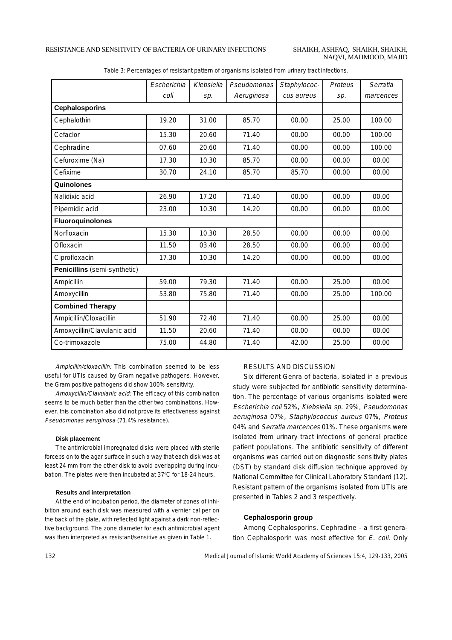### RESISTANCE AND SENSITIVITY OF BACTERIA OF URINARY INFECTIONS SHAIKH, ASHFAQ, SHAIKH, SHAIKH,

## NAQVI, MAHMOOD, MAJID

|                              | Escherichia | Klebsiella | Pseudomonas | Staphylococ- | Proteus | Serratia  |  |  |  |
|------------------------------|-------------|------------|-------------|--------------|---------|-----------|--|--|--|
|                              | coli        | sp.        | Aeruginosa  | cus aureus   | sp.     | marcences |  |  |  |
| <b>Cephalosporins</b>        |             |            |             |              |         |           |  |  |  |
| Cephalothin                  | 19.20       | 31.00      | 85.70       | 00.00        | 25.00   | 100.00    |  |  |  |
| Cefaclor                     | 15.30       | 20.60      | 71.40       | 00.00        | 00.00   | 100.00    |  |  |  |
| Cephradine                   | 07.60       | 20.60      | 71.40       | 00.00        | 00.00   | 100.00    |  |  |  |
| Cefuroxime (Na)              | 17.30       | 10.30      | 85.70       | 00.00        | 00.00   | 00.00     |  |  |  |
| Cefixime                     | 30.70       | 24.10      | 85.70       | 85.70        | 00.00   | 00.00     |  |  |  |
| Quinolones                   |             |            |             |              |         |           |  |  |  |
| Nalidixic acid               | 26.90       | 17.20      | 71.40       | 00.00        | 00.00   | 00.00     |  |  |  |
| Pipemidic acid               | 23.00       | 10.30      | 14.20       | 00.00        | 00.00   | 00.00     |  |  |  |
| <b>Fluoroquinolones</b>      |             |            |             |              |         |           |  |  |  |
| Norfloxacin                  | 15.30       | 10.30      | 28.50       | 00.00        | 00.00   | 00.00     |  |  |  |
| Ofloxacin                    | 11.50       | 03.40      | 28.50       | 00.00        | 00.00   | 00.00     |  |  |  |
| Ciprofloxacin                | 17.30       | 10.30      | 14.20       | 00.00        | 00.00   | 00.00     |  |  |  |
| Penicillins (semi-synthetic) |             |            |             |              |         |           |  |  |  |
| Ampicillin                   | 59.00       | 79.30      | 71.40       | 00.00        | 25.00   | 00.00     |  |  |  |
| Amoxycillin                  | 53.80       | 75.80      | 71.40       | 00.00        | 25.00   | 100.00    |  |  |  |
| <b>Combined Therapy</b>      |             |            |             |              |         |           |  |  |  |
| Ampicillin/Cloxacillin       | 51.90       | 72.40      | 71.40       | 00.00        | 25.00   | 00.00     |  |  |  |
| Amoxycillin/Clavulanic acid  | 11.50       | 20.60      | 71.40       | 00.00        | 00.00   | 00.00     |  |  |  |
| Co-trimoxazole               | 75.00       | 44.80      | 71.40       | 42.00        | 25.00   | 00.00     |  |  |  |

Table 3: Percentages of resistant pattern of organisms isolated from urinary tract infections.

Ampicillin/cloxacillin: This combination seemed to be less useful for UTIs caused by Gram negative pathogens. However, the Gram positive pathogens did show 100% sensitivity.

Amoxycillin/Clavulanic acid: The efficacy of this combination seems to be much better than the other two combinations. However, this combination also did not prove its effectiveness against Pseudomonas aeruginosa (71.4% resistance).

#### **Disk placement**

The antimicrobial impregnated disks were placed with sterile forceps on to the agar surface in such a way that each disk was at least 24 mm from the other disk to avoid overlapping during incubation. The plates were then incubated at 37ºC for 18-24 hours.

#### **Results and interpretation**

At the end of incubation period, the diameter of zones of inhibition around each disk was measured with a vernier caliper on the back of the plate, with reflected light against a dark non-reflective background. The zone diameter for each antimicrobial agent was then interpreted as resistant/sensitive as given in Table 1.

#### RESULTS AND DISCUSSION

Six different Genra of bacteria, isolated in a previous study were subjected for antibiotic sensitivity determination. The percentage of various organisms isolated were Escherichia coli 52%, Klebsiella sp. 29%, Pseudomonas aeruginosa 07%, Staphylococcus aureus 07%, Proteus 04% and Serratia marcences 01%. These organisms were isolated from urinary tract infections of general practice patient populations. The antibiotic sensitivity of different organisms was carried out on diagnostic sensitivity plates (DST) by standard disk diffusion technique approved by National Committee for Clinical Laboratory Standard (12). Resistant pattern of the organisms isolated from UTIs are presented in Tables 2 and 3 respectively.

#### **Cephalosporin group**

Among Cephalosporins, Cephradine - a first generation Cephalosporin was most effective for E. coli. Only